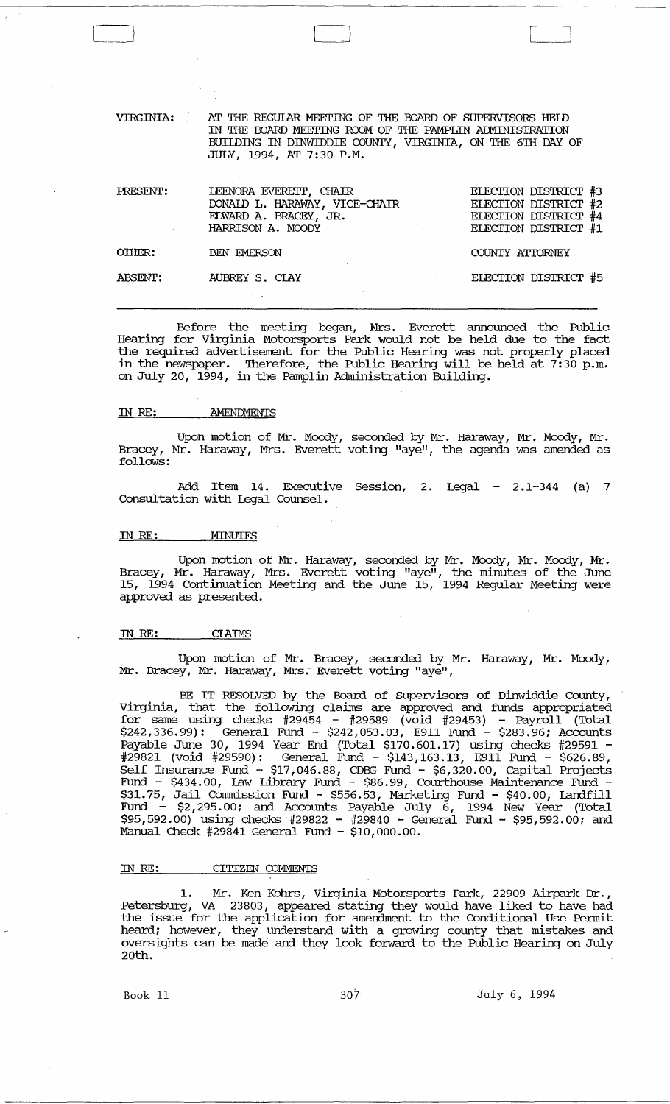VIRGINIA: PRESENT: OIHER.: ABSENT: AT THE REGUIAR MEETING OF THE BOARD OF SUPERVISORS HELD IN THE BOARD MEETING ROOM OF THE PAMPLIN ADMINISTRATION BUILDING IN DINWIDDIE COUNTY, VIRGINIA, ON THE 6TH DAY OF JULY, 1994, AT 7:30 P.M. LEENORA EVERETT, CHAIR DONAID L. HARAWAY, VICE-CHAIR EIMARD A. BRACEY, JR. HARRISON A. MOODY BEN EMERSON AUBREY S. CIAY ElEcrION DISTRIcr #3 ElEcrION DISTRIcr #2 ELEcrION DISTRICT #4 ELEcrION DISTRICT #1 COUNTY ATIDRNEY ElEcrION DISTRIcr #5

 $\Box$ 

Before the meeting began, Mrs. Everett announced the Public Hearing for Virginia Motorsports Park would not be held due to the fact the required advertisement for the Public Hearing was not properly placed in the newspaper. 'Iherefore, the Public Hearing will be held at 7: 30 p.m. on July 20, 1994, in the Pamplin Administration Building.

#### lli *RE:*  AMENDMENTS

 $\begin{pmatrix} 1 & 1 \\ 1 & 1 \end{pmatrix}$ 

Upon motion of Mr. Moody, seconded by Mr. Haraway, Mr. Moody, Mr. Bracey, Mr. Haraway, Mrs. Everett voting "aye", the agenda was amended as follows:

Add Item 14. Executive Session, 2. Legal - 2.1-344 (a) 7 Consultation with legal Counsel.

#### IN *RE:*

Upon motion of Mr. Haraway, seconded by Mr. Moody, Mr. Moody, Mr. Bracey, Mr. Haraway, Mrs. Everett voting "aye", the minutes of the June 15, 1994 Continuation Meeting and the June 15, 1994 Regular Meeting were approved as presented.

# . IN *RE:* CIAIMS

Upon motion of Mr. Bracey, seconded by Mr. Haraway, Mr. Moody, Mr. Bracey, Mr. Haraway, Mrs: Everett voting "aye",

BE IT RESOLVED by the Board of Supervisors of Dinwiddie County, Virginia, that the following claims are approved and funds appropriated for same using checks #29454 - #29589 (void #29453) - Payroll (Total \$242,336.99): General Fund - \$242,053.03, E911 Fund - \$283.96; Accounts Payable June 30, 1994 Year End (Total \$170.601.17) using checks #29591 - #29821 (void #29590): General Fund - \$143,163.13, E911 Fund - \$626.89,  $Self$  Insurance Fund - \$17,046.88, CDBG Fund - \$6,320.00, Capital Projects Fund - \$434.00, Law Library Fund - \$86.99, Courthouse Maintenance Fund - \$31.75, Jail commission Fund - \$556.53, Marketing Fund - \$40.00, Landfill Fund - \$2,295.00; and Accounts Payable July 6, 1994 New Year (Total  $$95,592.00)$  using checks #29822 - #29840 - General Fund -  $$95,592.00;$  and Manual Check #29841 General Fund - \$10,000.00.

#### IN RE: CITIZEN COMMENTS

Mr. Ken Kohrs, Virginia Motorsports Park, 22909 Airpark Dr., Petersburg, VA 23803, appeared stating they would have liked to have had the issue for the application for amendment to the Conditional Use Permit heard; however, they understand with a growing county that mistakes and oversights can be made and they look forward to the Public Hearing on July 20th.

Book 11 307 307 July 6, 1994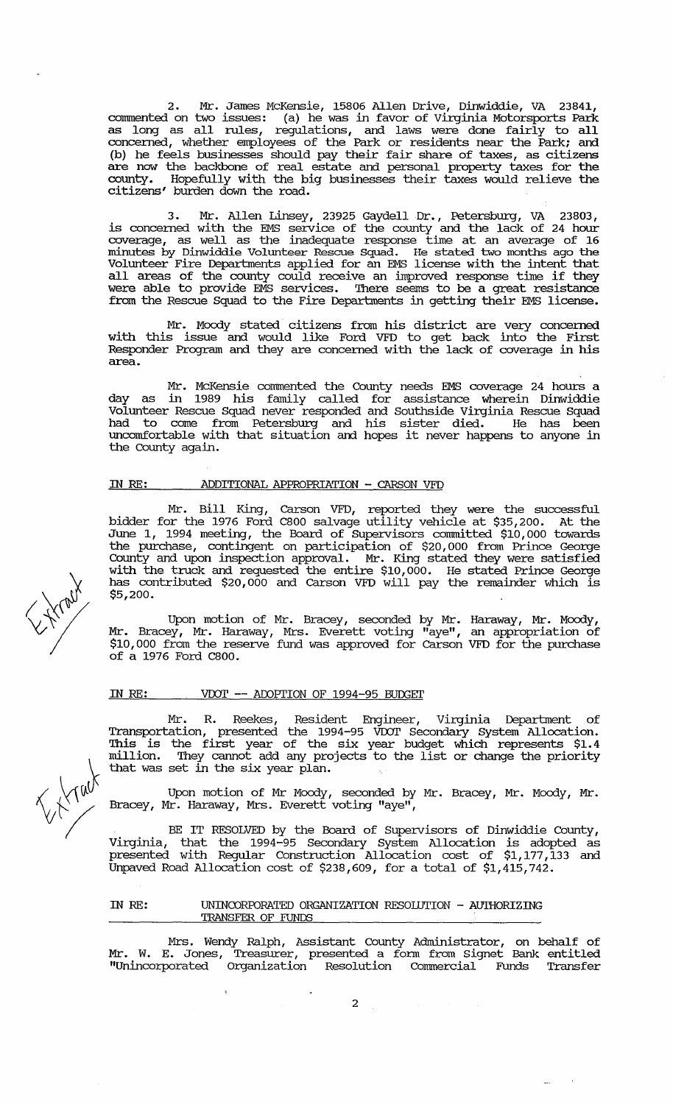2. Mr. James McKensie, 15806 Allen Drive, Dinwiddie, VA 23841, conunented on two issues: (a) he was in favor of virginia Motorsports Park as long as all rules, regulations, and laws were done fairly to all concerned, whether employees of the Park or residents near the Park; and. (b) he feels businesses should pay their fair share of taxes, as citizens are now the backbone of real estate and personal property taxes for the county. Hopefully with the big businesses their taxes would relieve the citizens' burden down the road.

3. Mr. Allen. Linsey, 23925 Gaydell Dr., Petersburg, VA 23803, is concerned with the EMS service of the county and the lack of 24 hour coverage, as well as the inadequate response time at an average of 16 minutes by Dinwiddie Volunteer Rescue Squad. He stated two months ago the Volunteer Fire Departments applied for an EMS license with the intent that all areas of the county could receive an improved response time if they were able to provide EMS services. '!here seems to be a great resistance from the Rescue Squad to the Fire Departments in getting their EMS license.

Mr. Moody stated citizens from his district are very concerned with this issue and would like Ford VFD to get back into the First Responder Program and they are concerned with the lack of coverage in his area.

Mr. McKensie commented the County needs EMS coverage 24 hours a day as in 1989 his family called for assistance wherein Dinwiddie Volunteer Rescue Squad never responded and Southside Virginia Rescue Squad had to come from Petersburg and his sister died. He has been uncomfortable with that situation and hopes it never happens to anyone in the County again.

# IN RE: ADDITIONAL APPROPRIATION - CARSON VFD

Mr. Bill King, Carson VFD, reported they were the successful bidder for the 1976 Ford C800 salvage utility vehicle at \$35,200. At the June 1, 1994 meeting, the Board of Supervisors connnitted \$10, 000 towards the purchase, contingent on participation of \$20,000 from Prince George County and upon inspection approval. Mr. King stated they were satisfied with the truck and requested the entire \$10,000. He stated Prince George has contributed \$20,000 and Carson VFD will pay the remainder which is \$5,200.

Upon motion of Mr. Bracey, seconded by Mr. Haraway, Mr. Moody, Mr. Bracey, Mr. Haraway, Mrs. Everett voting "aye", an appropriation of \$10,000 from the reserve fund was approved for Carson VFD for the purchase of a 1976 Ford C800.

#### IN RE: VDOT -- ADOPTION OF 1994-95 BUDGET

Mr. R. Reekes, Resident Engineer, Virginia Department of Transportation, presented the 1994-95 VDOT Secondary System Allocation. This is the first year of the six year budget which represents \$1.4 million. They cannot add any projects to the list or change the priority that was set in the six year plan.

Upon motion of Mr Moody, seconded by Mr. Bracey, Mr. Moody, Mr . Bracey, Mr. Haraway, Mrs. Everett voting "aye",

BE IT RESOLVED by the Board of Supervisors of Dinwiddie County, Virginia, that the 1994-95 Secondary System Allocation is adopted as presented with Regular construction Allocation cost of \$1,177,133 and. Unpaved Road Allocation cost of \$238,609, for a total of \$1,415,742.

# IN RE: UNINCORFORATED ORGANIZATION RESOIDTION - AUIHORIZING TRANSFER OF FUNDS

Mrs. Wendy Ralph, Assistant County Administrator, on behalf of Mr. W. E. Jones, Treasurer, presented a fonn from Signet Bank entitled "Unincorporated organization Resolution Commercial Funds Transfer

 $\checkmark$   $\checkmark$ 

 $\left\langle \sqrt{V^{\text{vac}}} \right\rangle$ 

2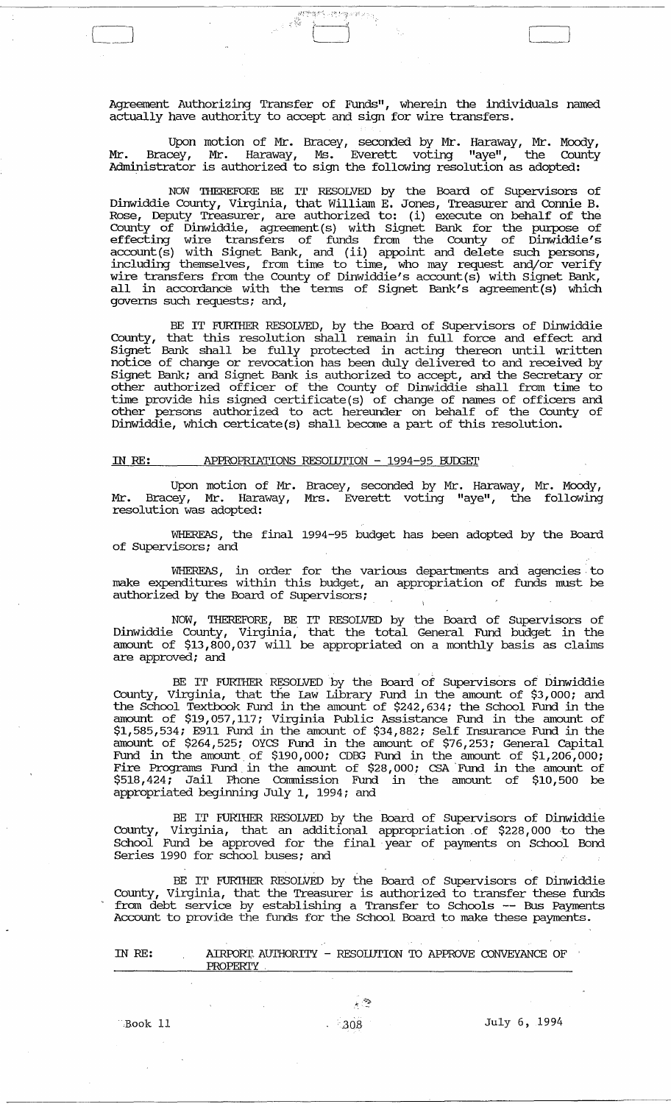Agreement Authorizing Transfer of Funds", wherein the individuals named actually have authority to accept and sign for wire transfers.

<u> England</u>

e fa

Upon motion of Mr. Bracey, seconded by Mr. Haraway, Mr. Moody, Mr. Bracey, Mr. Haraway, Ms. Everett voting "aye", the County Administrator is authorized to sign the following resolution as adopted:

NOW THEREFORE BE IT RESOLVED by the Board of Supervisors of Dinwiddie County, Virginia, that William E. Jones, Treasurer and Connie B. Rose, Deputy Treasurer, are authorized to: (i) execute on behalf of the County of Dinwiddie, agreement(s) with Signet Bank for the purpose of effecting wire transfers of funds from the County of Dinwiddie's account(s) with Signet Bank, and (ii) appoint and delete such persons, including themselves, from time to time, who may request and/or verify wire transfers from the County of Dinwiddie's account(s) with Signet Bank, all in accordance with the terms of Signet Bank's agreement(s) which governs such requests; and,

BE IT FURTHER RESOLVED, by the Board of Supervisors of Dinwiddie County, that this resolution shall remain in full force and effect and Signet Bank shall be fully protected in acting thereon until written notice of change or revocation has been duly delivered to and received by Signet Bank; and Signet Bank is authorized to accept, and the Secretary or other authorized officer of the County of Dinwiddie shall from time to time provide his signed certificate(s) of change of names of officers and other persons authorized to act hereunder on behalf of the County of Dinwiddie, which certicate(s) shall become a part of this resolution.

#### IN RE: APPROPRIATIONS RESOLUTION - 1994-95 BUDGET

Upon motion of Mr. Bracey, seconded by Mr. Haraway, Mr. Moody, Mr. Bracey, Mr. Haraway, Mrs. Everett voting "aye", the following resolution was adopted:

WHEREAS, the final 1994-95 budget has been adopted by the Board of Supervisors; and

WHEREAS, in order for the various departments and agencies to make expenditures within this budget, an appropriation of funds must be authorized by the Board of supervisors;

NOW, THEREFDRE, BE IT RESOLVED by the Board of Supervisors of Dinwiddie County, Virginia,' that the total General Fund budget in the amount of \$13,800,037 will be appropriated on a monthly basis as claims are approved; and

BE IT FURTHER RESOLVED by the Board of Supervisors of Dinwiddie County, Virginia, that the law Library Fund in the amount of \$3,000; and the School Textbook Fund in the amount of \$242, 634; the School Fund in the amount of \$19,057, 117; Virginia Public Assistance Fund in the amount of \$1,585,534; E911 Fund in the amount of \$34,882; Self Insurance Fund in the amount of \$264,525; OYCS Fund in the amount of \$76,253; General capital Fund in the amount, of \$190,000; CDEG Fund in the amount of \$1,206,000; Fire Programs Fund in the amount of \$28,000; CSA Fund in the amount of \$518,424; Jail Phone commission Fund in the amount of \$10,500 be appropriated beginning July 1, 1994; and

BE IT FURITHER RESOLVED by the Board of Supervisors of Dinwiddie County, virginia, that an additional appropriation ,of \$228, 000 to the School Fund be approved for the final, year of payments on School Bond Series 1990 for school buses; and

BE IT FURTHER RESOLVED by the Board of Supervisors of Dinwiddie County, Virginia, that the Treasurer is authorized to transfer these funds from debt service by establishing a Transfer to Schools -- Bus Payments Account to provide the funds for the School Board to make these payments.

| IN RE: |          |  |  | AIRPORT AUTHORITY - RESOLUTION TO APPROVE CONVEYANCE OF |  |
|--------|----------|--|--|---------------------------------------------------------|--|
|        | PROPERTY |  |  |                                                         |  |

Book 11

 $\frac{1}{\lambda} \sum_{i=1}^{n}$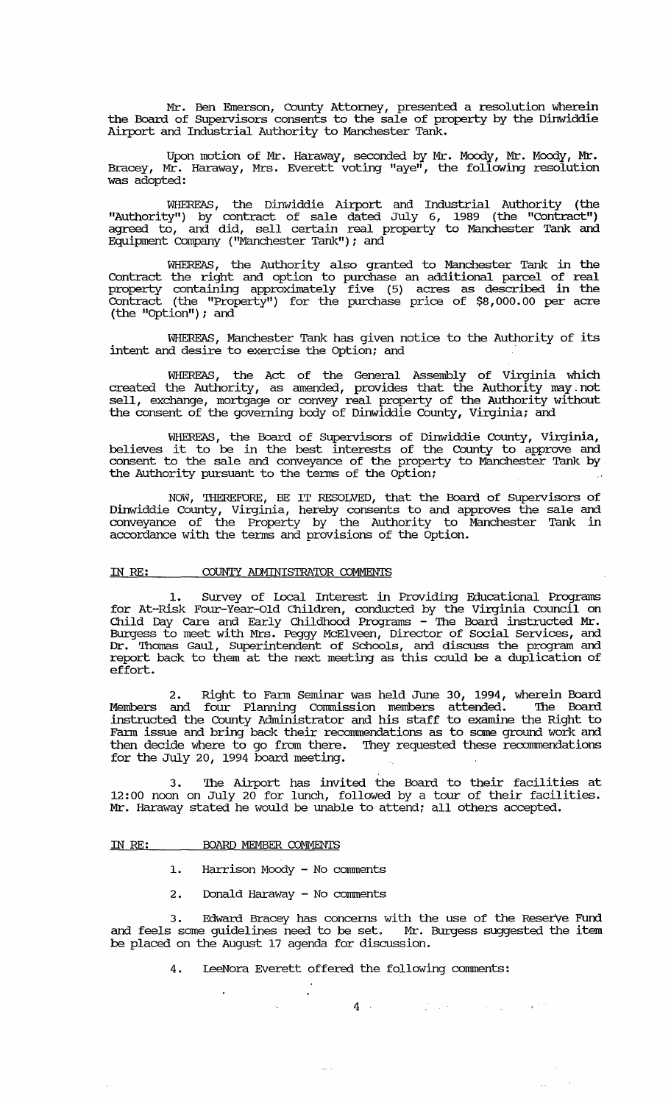Mr. Ben Emerson, County Attorney, presented a resolution wherein the Board of Supervisors consents to the sale of property by the Dinwiddie Airport and Industrial Authority to Manchester Tank.

Upon motion of Mr. Haraway, seconded by Mr. Moody, Mr. Moody, Mr. Bracey, Mr. Haraway, Mrs. Everett voting "aye", the following resolution was adopted:

WHEREAS, the Dinwiddie Airport and Industrial Authority (the "Authority") by contract of sale dated July 6, 1989 (the "Contract") agreed to, and did, sell certain real property to Manchester Tank and Equipment Company ("Manchester Tank"); and

WHEREAS, the Authority also granted to Manchester Tank in the Contract the right and option to purchase an additional parcel of real property containing approximately five (5) acres as described in the Contract (the "Property") for the purchase price of \$8,000.00 per acre (the "Option"); and

WHEREAS, Manchester Tank has given notice to the Authority of its intent and desire to exercise the Option; and

WHEREAS, the Act of the General Assembly of Virginia which created the Authority, as amended, provides that the Authority may not sell, exchange, mortgage or convey real property of the Authority without the consent of the governing body of Dinwiddie County, Virginia; and

WHEREAS, the Board of supervisors of Dinwiddie County, Virginia, believes it to be in the best interests of the County to approve and consent to the sale and conveyance of the property to Manchester Tank by the Authority pursuant to the terms of the Option;

NOW, THEREFORE, BE IT RESOLVED, that the Board of supervisors of Dinwiddie County, Virginia, hereby consents to and approves the sale and conveyance of the Property by the Authority to Manchester Tank in accordance with the terms and provisions of the Option.

#### IN RE: COUNTY ADMINISTRATOR COMMENTS

1. Survey of Local Interest in Providing Educational Programs for At-Risk Four-Year-Gld Children, conducted by the Virginia Council on Child Day care and Early Childhood Programs - The Board instructed Mr. Burgess to meet with Mrs. Peggy McElveen, Director of social Services, and Dr. Thomas Gaul, Superintendent of Schools, and discuss the program and report back to them at the next meeting as this could be a duplication of effort.

2. Right to Fann Seminar was held June 30, 1994, wherein Board Members and four Planning Commission members attended. The Board instructed the County Administrator and his staff to examine the Right to Fann issue and bring back their recommendations as to some ground work and then decide where to go from there. They requested these recommendations for the July 20, 1994 board meeting.

3. The Airport has invited the Board to their facilities at 12:00 noon on July 20 for lunch, followed by a tour of their facilities. Mr. Haraway stated he would be unable to attend; all others accepted.

# IN RE: BOARD MEMBER COMMENTS

- 1. Harrison Moody No comments
- 2. Donald Haraway No comments

3. Edward Bracey has concerns with the use of the Reserve Fund and feels some guidelines need to be set. Mr. Burgess suggested the item be placed on the August 17 agenda for discussion.

4. LeeNora Everett offered the following comments:

 $4$  . The contract of the contract of the contract of the contract of the contract of the contract of the contract of the contract of the contract of the contract of the contract of the contract of the contract of the con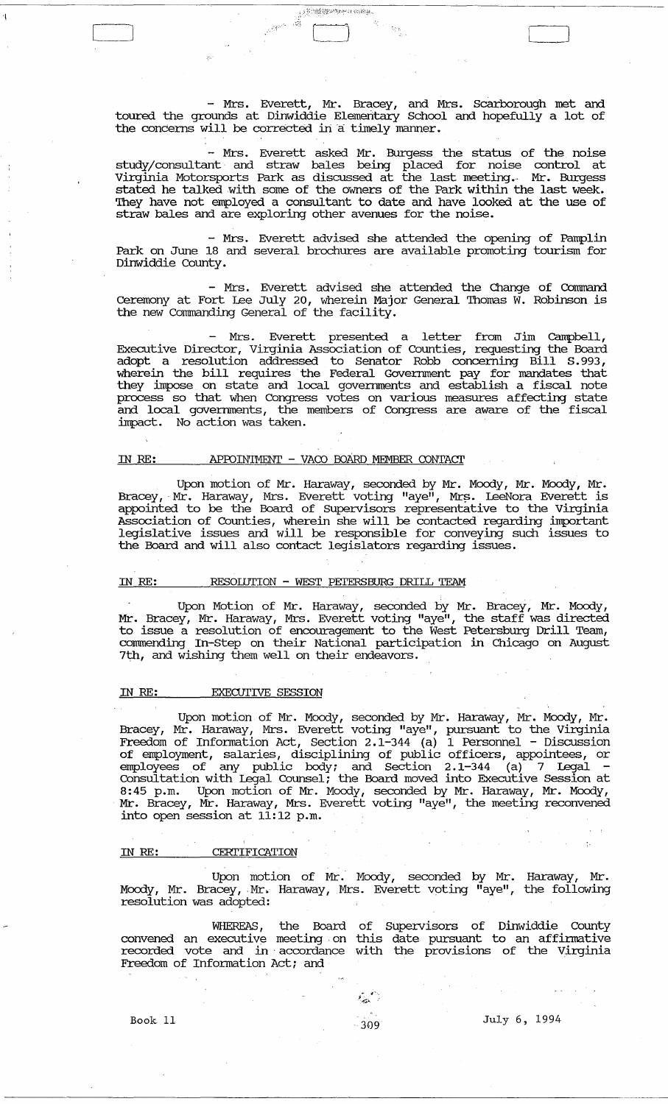- Mrs. Everett, Mr. Bracey, and Mrs. Scarborough met and toured the grounds at Dinwiddie Elementary School and hopefully a lot of the concerns will be corrected in a timely manner.

 $\frac{\lambda_{2}^{2} \, \mu_{1}}{2 \pi}$ 

- Mrs. Everett asked Mr. Burgess the status of the noise study/consultant and straw bales being placed for noise control at Vhginia Motorsports Park as discussed at the last meeting." Mr. Burgess stated he talked with some of the owners of the Park within the last week. They have not employed a consultant to date and have looked at the use of straw bales and are exploring other avenues for the noise.

- Mrs. Everett advised she attended the opening of Pamplin Park on June 18 and several brochures are available promoting tourism for Dinwiddie County.

- Mrs. Everett advised she attended the Change of Command ceremony at Fort Lee July 20, wherein Major General Thomas W. Robinson is the new Commanding General of the facility.

Mrs. Everett presented a letter from Jim campbell, Executive Director, Virginia Association of Counties, requesting the Board adopt a resolution addressed to Senator Robb concerning Bill S.993, wherein the bill requires the Federal Government pay for mandates that they impose on state and local governments and establish a fiscal note process so that when Congress votes on various measures affecting state and local governments, the members of Congress are aware of the fiscal impact. No action was taken.

# IN RE: APIDIN'IMENT - VACO BOARD MEMBER CONTAcr

Upon motion of Mr. Haraway, seconded by Mr. Moody, Mr. Moody, Mr. Bracey, Mr. Haraway, Mrs. Everett voting "aye", Mrs. LeeNora Everett is appointed to be the Board of Supervisors representative to the Virginia Association of Counties, wherein she will be contacted regarding important legislative issues and will be responsible for conveying such issues to the Board and will also contact legislators regarding issues.

# IN RE: RESOLUTION - WEST PETERSBURG DRILL TEAM

Upon Motion of Mr. Haraway, seconded by Mr. Bracey, Mr. Moody, Mr. Bracey, Mr. Haraway, Mrs. Everett voting "aye", the staff was directed to issue a resolution of encouragement to the West Petersburg Drill Team, commending In-Step on their National participation in Chicago on August 7th, and wishing them well on their endeavors.

# IN RE: EXECUTIVE SESSION

Upon motion of Mr. Moody, seconded by Mr. Haraway, Mr. Moody, Mr. Bracey, Mr. Haraway, Mrs. Everett voting "aye", pursuant to the Virginia Freedom of Information Act, section 2.1-344 (a) 1 Personnel - Discussion of employment, salaries, disciplining of public officers, appointees, or employees of any public body; and Section 2.1-344 (a) 7 Legal Consultation with Legal Counsel; the Board moved into Executive Session at 8: 45 p.m. Upon motion of Mr. Moody, seconded by Mr. Haraway, Mr. Moody, Mr. Bracey, Mr. Haraway, Mrs. Everett voting "aye", the meeting reconvened into open session at 11:12 p.m.

# IN RE: CERTIFICATION

Upon motion of Mr. Moody, seconded by Mr. Haraway, Mr. Moody, Mr. Bracey, Mr. Haraway, Mrs. Everett voting "aye", the following resolution was adopted:

WHEREAS, the Board of Supervisors of Dinwiddie County convened an executive meeting. on this date pursuant to an affirmative recorded vote and in accordance with the provisions of the Virginia Freedom of Information Act; and

Book 11

 $f_{\rm{max}}$  .

 $\frac{309}{ }$  July 6, 1994

 $\mathcal{L}_\mathrm{c}$